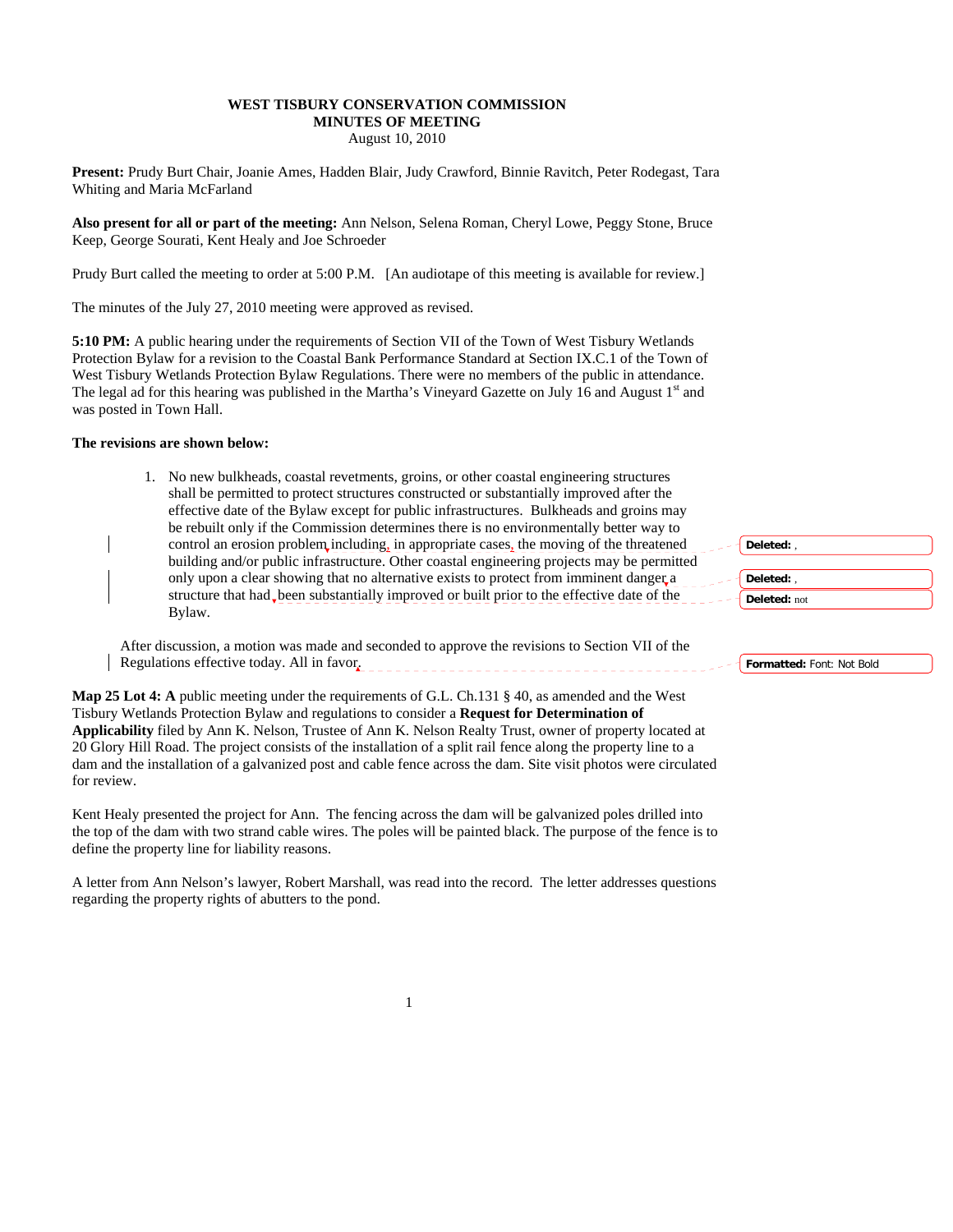## **WEST TISBURY CONSERVATION COMMISSION MINUTES OF MEETING**  August 10, 2010

**Present:** Prudy Burt Chair, Joanie Ames, Hadden Blair, Judy Crawford, Binnie Ravitch, Peter Rodegast, Tara Whiting and Maria McFarland

**Also present for all or part of the meeting:** Ann Nelson, Selena Roman, Cheryl Lowe, Peggy Stone, Bruce Keep, George Sourati, Kent Healy and Joe Schroeder

Prudy Burt called the meeting to order at 5:00 P.M. [An audiotape of this meeting is available for review.]

The minutes of the July 27, 2010 meeting were approved as revised.

**5:10 PM:** A public hearing under the requirements of Section VII of the Town of West Tisbury Wetlands Protection Bylaw for a revision to the Coastal Bank Performance Standard at Section IX.C.1 of the Town of West Tisbury Wetlands Protection Bylaw Regulations. There were no members of the public in attendance. The legal ad for this hearing was published in the Martha's Vineyard Gazette on July 16 and August  $1<sup>st</sup>$  and was posted in Town Hall.

#### **The revisions are shown below:**

1. No new bulkheads, coastal revetments, groins, or other coastal engineering structures shall be permitted to protect structures constructed or substantially improved after the effective date of the Bylaw except for public infrastructures. Bulkheads and groins may be rebuilt only if the Commission determines there is no environmentally better way to control an erosion problem including, in appropriate cases, the moving of the threatened building and/or public infrastructure. Other coastal engineering projects may be permitted only upon a clear showing that no alternative exists to protect from imminent danger a structure that had been substantially improved or built prior to the effective date of the Bylaw.

After discussion, a motion was made and seconded to approve the revisions to Section VII of the Regulations effective today. All in favor.

**Map 25 Lot 4: A** public meeting under the requirements of G.L. Ch.131 § 40, as amended and the West Tisbury Wetlands Protection Bylaw and regulations to consider a **Request for Determination of Applicability** filed by Ann K. Nelson, Trustee of Ann K. Nelson Realty Trust, owner of property located at 20 Glory Hill Road. The project consists of the installation of a split rail fence along the property line to a dam and the installation of a galvanized post and cable fence across the dam. Site visit photos were circulated for review.

Kent Healy presented the project for Ann. The fencing across the dam will be galvanized poles drilled into the top of the dam with two strand cable wires. The poles will be painted black. The purpose of the fence is to define the property line for liability reasons.

A letter from Ann Nelson's lawyer, Robert Marshall, was read into the record. The letter addresses questions regarding the property rights of abutters to the pond.

**Deleted:** , **Deleted:** , **Deleted:** not

**Formatted:** Font: Not Bold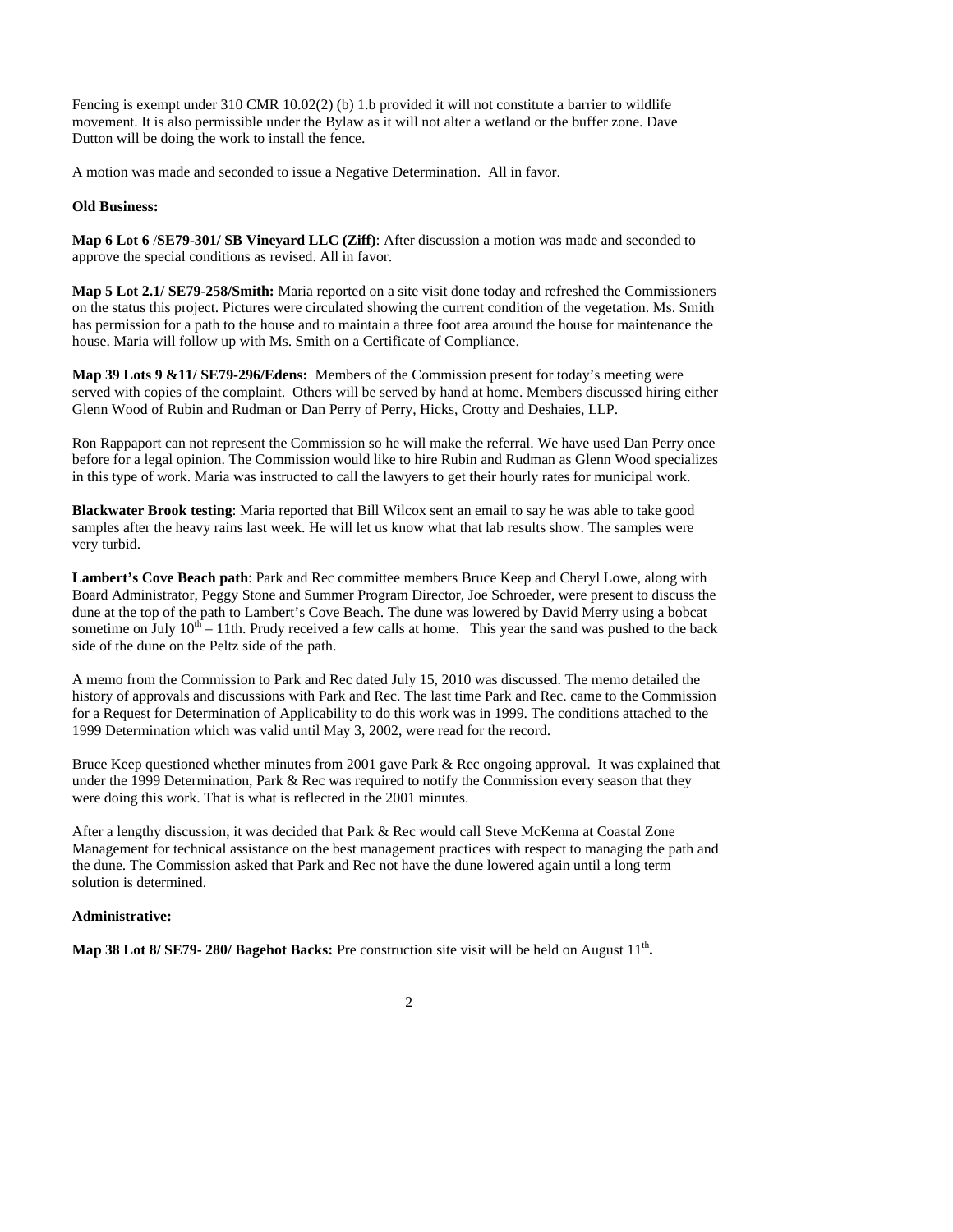Fencing is exempt under 310 CMR 10.02(2) (b) 1.b provided it will not constitute a barrier to wildlife movement. It is also permissible under the Bylaw as it will not alter a wetland or the buffer zone. Dave Dutton will be doing the work to install the fence.

A motion was made and seconded to issue a Negative Determination. All in favor.

### **Old Business:**

**Map 6 Lot 6** /**SE79-301/ SB Vineyard LLC (Ziff)**: After discussion a motion was made and seconded to approve the special conditions as revised. All in favor.

**Map 5 Lot 2.1/ SE79-258/Smith:** Maria reported on a site visit done today and refreshed the Commissioners on the status this project. Pictures were circulated showing the current condition of the vegetation. Ms. Smith has permission for a path to the house and to maintain a three foot area around the house for maintenance the house. Maria will follow up with Ms. Smith on a Certificate of Compliance.

**Map 39 Lots 9 &11/ SE79-296/Edens:** Members of the Commission present for today's meeting were served with copies of the complaint. Others will be served by hand at home. Members discussed hiring either Glenn Wood of Rubin and Rudman or Dan Perry of Perry, Hicks, Crotty and Deshaies, LLP.

Ron Rappaport can not represent the Commission so he will make the referral. We have used Dan Perry once before for a legal opinion. The Commission would like to hire Rubin and Rudman as Glenn Wood specializes in this type of work. Maria was instructed to call the lawyers to get their hourly rates for municipal work.

**Blackwater Brook testing**: Maria reported that Bill Wilcox sent an email to say he was able to take good samples after the heavy rains last week. He will let us know what that lab results show. The samples were very turbid.

**Lambert's Cove Beach path**: Park and Rec committee members Bruce Keep and Cheryl Lowe, along with Board Administrator, Peggy Stone and Summer Program Director, Joe Schroeder, were present to discuss the dune at the top of the path to Lambert's Cove Beach. The dune was lowered by David Merry using a bobcat sometime on July  $10^{th} - 11$ th. Prudy received a few calls at home. This year the sand was pushed to the back side of the dune on the Peltz side of the path.

A memo from the Commission to Park and Rec dated July 15, 2010 was discussed. The memo detailed the history of approvals and discussions with Park and Rec. The last time Park and Rec. came to the Commission for a Request for Determination of Applicability to do this work was in 1999. The conditions attached to the 1999 Determination which was valid until May 3, 2002, were read for the record.

Bruce Keep questioned whether minutes from 2001 gave Park & Rec ongoing approval. It was explained that under the 1999 Determination, Park & Rec was required to notify the Commission every season that they were doing this work. That is what is reflected in the 2001 minutes.

After a lengthy discussion, it was decided that Park & Rec would call Steve McKenna at Coastal Zone Management for technical assistance on the best management practices with respect to managing the path and the dune. The Commission asked that Park and Rec not have the dune lowered again until a long term solution is determined.

#### **Administrative:**

**Map 38 Lot 8/ SE79- 280/ Bagehot Backs:** Pre construction site visit will be held on August 11<sup>th</sup>.